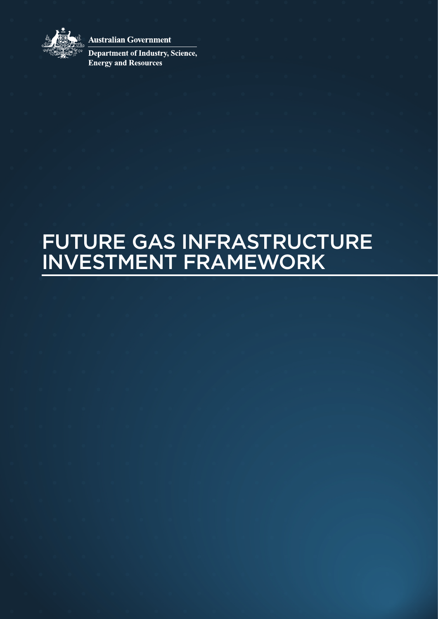

**Australian Government** 

Department of Industry, Science, **Energy and Resources** 

# FUTURE GAS INFRASTRUCTURE INVESTMENT FRAMEWORK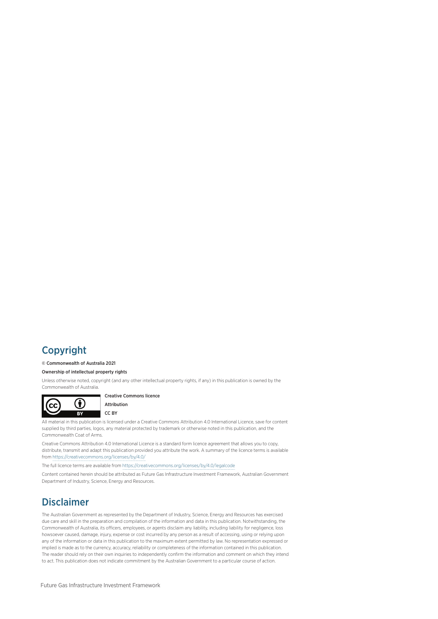## Copyright

#### © Commonwealth of Australia 2021

#### Ownership of intellectual property rights

Unless otherwise noted, copyright (and any other intellectual property rights, if any) in this publication is owned by the Commonwealth of Australia.



Creative Commons licence

Attribution CC BY

All material in this publication is licensed under a Creative Commons Attribution 4.0 International Licence, save for content supplied by third parties, logos, any material protected by trademark or otherwise noted in this publication, and the Commonwealth Coat of Arms.

Creative Commons Attribution 4.0 International Licence is a standard form licence agreement that allows you to copy, distribute, transmit and adapt this publication provided you attribute the work. A summary of the licence terms is available from <https://creativecommons.org/licenses/by/4.0/>

The full licence terms are available from <https://creativecommons.org/licenses/by/4.0/legalcode>

Content contained herein should be attributed as Future Gas Infrastructure Investment Framework, Australian Government Department of Industry, Science, Energy and Resources.

## Disclaimer

The Australian Government as represented by the Department of Industry, Science, Energy and Resources has exercised due care and skill in the preparation and compilation of the information and data in this publication. Notwithstanding, the Commonwealth of Australia, its officers, employees, or agents disclaim any liability, including liability for negligence, loss howsoever caused, damage, injury, expense or cost incurred by any person as a result of accessing, using or relying upon any of the information or data in this publication to the maximum extent permitted by law. No representation expressed or implied is made as to the currency, accuracy, reliability or completeness of the information contained in this publication. The reader should rely on their own inquiries to independently confirm the information and comment on which they intend to act. This publication does not indicate commitment by the Australian Government to a particular course of action.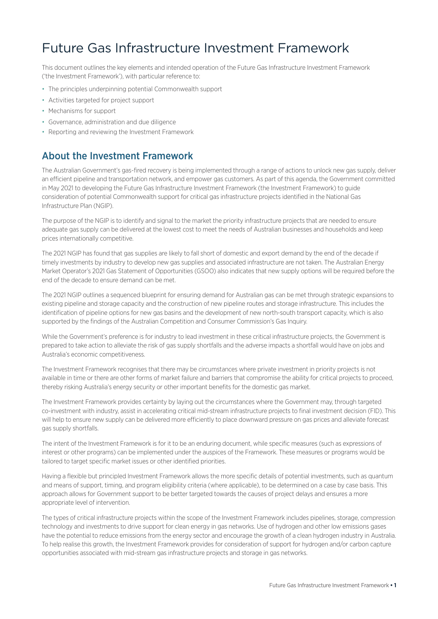## Future Gas Infrastructure Investment Framework

This document outlines the key elements and intended operation of the Future Gas Infrastructure Investment Framework ('the Investment Framework'), with particular reference to:

- The principles underpinning potential Commonwealth support
- Activities targeted for project support
- Mechanisms for support
- Governance, administration and due diligence
- Reporting and reviewing the Investment Framework

### About the Investment Framework

The Australian Government's gas-fired recovery is being implemented through a range of actions to unlock new gas supply, deliver an efficient pipeline and transportation network, and empower gas customers. As part of this agenda, the Government committed in May 2021 to developing the Future Gas Infrastructure Investment Framework (the Investment Framework) to guide consideration of potential Commonwealth support for critical gas infrastructure projects identified in the National Gas Infrastructure Plan (NGIP).

The purpose of the NGIP is to identify and signal to the market the priority infrastructure projects that are needed to ensure adequate gas supply can be delivered at the lowest cost to meet the needs of Australian businesses and households and keep prices internationally competitive.

The 2021 NGIP has found that gas supplies are likely to fall short of domestic and export demand by the end of the decade if timely investments by industry to develop new gas supplies and associated infrastructure are not taken. The Australian Energy Market Operator's 2021 Gas Statement of Opportunities (GSOO) also indicates that new supply options will be required before the end of the decade to ensure demand can be met.

The 2021 NGIP outlines a sequenced blueprint for ensuring demand for Australian gas can be met through strategic expansions to existing pipeline and storage capacity and the construction of new pipeline routes and storage infrastructure. This includes the identification of pipeline options for new gas basins and the development of new north-south transport capacity, which is also supported by the findings of the Australian Competition and Consumer Commission's Gas Inquiry.

While the Government's preference is for industry to lead investment in these critical infrastructure projects, the Government is prepared to take action to alleviate the risk of gas supply shortfalls and the adverse impacts a shortfall would have on jobs and Australia's economic competitiveness.

The Investment Framework recognises that there may be circumstances where private investment in priority projects is not available in time or there are other forms of market failure and barriers that compromise the ability for critical projects to proceed, thereby risking Australia's energy security or other important benefits for the domestic gas market.

The Investment Framework provides certainty by laying out the circumstances where the Government may, through targeted co-investment with industry, assist in accelerating critical mid-stream infrastructure projects to final investment decision (FID). This will help to ensure new supply can be delivered more efficiently to place downward pressure on gas prices and alleviate forecast gas supply shortfalls.

The intent of the Investment Framework is for it to be an enduring document, while specific measures (such as expressions of interest or other programs) can be implemented under the auspices of the Framework. These measures or programs would be tailored to target specific market issues or other identified priorities.

Having a flexible but principled Investment Framework allows the more specific details of potential investments, such as quantum and means of support, timing, and program eligibility criteria (where applicable), to be determined on a case by case basis. This approach allows for Government support to be better targeted towards the causes of project delays and ensures a more appropriate level of intervention.

The types of critical infrastructure projects within the scope of the Investment Framework includes pipelines, storage, compression technology and investments to drive support for clean energy in gas networks. Use of hydrogen and other low emissions gases have the potential to reduce emissions from the energy sector and encourage the growth of a clean hydrogen industry in Australia. To help realise this growth, the Investment Framework provides for consideration of support for hydrogen and/or carbon capture opportunities associated with mid-stream gas infrastructure projects and storage in gas networks.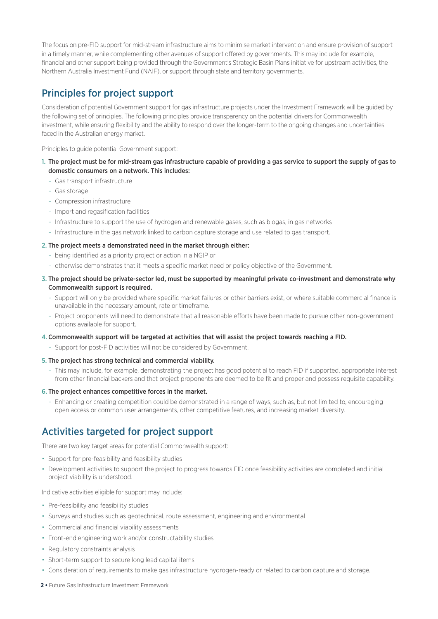The focus on pre-FID support for mid-stream infrastructure aims to minimise market intervention and ensure provision of support in a timely manner, while complementing other avenues of support offered by governments. This may include for example, financial and other support being provided through the Government's Strategic Basin Plans initiative for upstream activities, the Northern Australia Investment Fund (NAIF), or support through state and territory governments.

## Principles for project support

Consideration of potential Government support for gas infrastructure projects under the Investment Framework will be guided by the following set of principles. The following principles provide transparency on the potential drivers for Commonwealth investment, while ensuring flexibility and the ability to respond over the longer-term to the ongoing changes and uncertainties faced in the Australian energy market.

Principles to guide potential Government support:

- 1. The project must be for mid-stream gas infrastructure capable of providing a gas service to support the supply of gas to domestic consumers on a network. This includes:
	- Gas transport infrastructure
	- Gas storage
	- Compression infrastructure
	- Import and regasification facilities
	- Infrastructure to support the use of hydrogen and renewable gases, such as biogas, in gas networks
	- Infrastructure in the gas network linked to carbon capture storage and use related to gas transport.

#### 2. The project meets a demonstrated need in the market through either:

- being identified as a priority project or action in a NGIP or
- otherwise demonstrates that it meets a specific market need or policy objective of the Government.
- 3. The project should be private-sector led, must be supported by meaningful private co-investment and demonstrate why Commonwealth support is required.
	- Support will only be provided where specific market failures or other barriers exist, or where suitable commercial finance is unavailable in the necessary amount, rate or timeframe.
	- Project proponents will need to demonstrate that all reasonable efforts have been made to pursue other non-government options available for support.

#### 4. Commonwealth support will be targeted at activities that will assist the project towards reaching a FID.

- Support for post-FID activities will not be considered by Government.
- 5. The project has strong technical and commercial viability.
	- This may include, for example, demonstrating the project has good potential to reach FID if supported, appropriate interest from other financial backers and that project proponents are deemed to be fit and proper and possess requisite capability.

#### 6. The project enhances competitive forces in the market.

– Enhancing or creating competition could be demonstrated in a range of ways, such as, but not limited to, encouraging open access or common user arrangements, other competitive features, and increasing market diversity.

## Activities targeted for project support

There are two key target areas for potential Commonwealth support:

- Support for pre-feasibility and feasibility studies
- Development activities to support the project to progress towards FID once feasibility activities are completed and initial project viability is understood.

Indicative activities eligible for support may include:

- Pre-feasibility and feasibility studies
- Surveys and studies such as geotechnical, route assessment, engineering and environmental
- Commercial and financial viability assessments
- Front-end engineering work and/or constructability studies
- Regulatory constraints analysis
- Short-term support to secure long lead capital items
- Consideration of requirements to make gas infrastructure hydrogen-ready or related to carbon capture and storage.
- **2 •** Future Gas Infrastructure Investment Framework